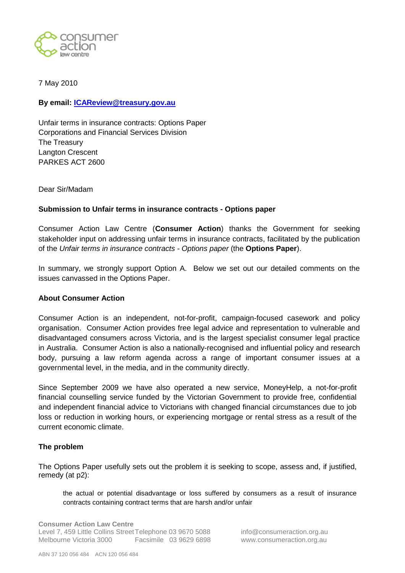

7 May 2010

### **By email: [ICAReview@treasury.gov.au](mailto:ICAReview@treasury.gov.au)**

Unfair terms in insurance contracts: Options Paper Corporations and Financial Services Division The Treasury Langton Crescent PARKES ACT 2600

Dear Sir/Madam

### **Submission to Unfair terms in insurance contracts - Options paper**

Consumer Action Law Centre (**Consumer Action**) thanks the Government for seeking stakeholder input on addressing unfair terms in insurance contracts, facilitated by the publication of the *Unfair terms in insurance contracts - Options paper* (the **Options Paper**).

In summary, we strongly support Option A. Below we set out our detailed comments on the issues canvassed in the Options Paper.

#### **About Consumer Action**

Consumer Action is an independent, not-for-profit, campaign-focused casework and policy organisation. Consumer Action provides free legal advice and representation to vulnerable and disadvantaged consumers across Victoria, and is the largest specialist consumer legal practice in Australia. Consumer Action is also a nationally-recognised and influential policy and research body, pursuing a law reform agenda across a range of important consumer issues at a governmental level, in the media, and in the community directly.

Since September 2009 we have also operated a new service, MoneyHelp, a not-for-profit financial counselling service funded by the Victorian Government to provide free, confidential and independent financial advice to Victorians with changed financial circumstances due to job loss or reduction in working hours, or experiencing mortgage or rental stress as a result of the current economic climate.

### **The problem**

The Options Paper usefully sets out the problem it is seeking to scope, assess and, if justified, remedy (at p2):

the actual or potential disadvantage or loss suffered by consumers as a result of insurance contracts containing contract terms that are harsh and/or unfair

**Consumer Action Law Centre** Level 7, 459 Little Collins Street Telephone 03 9670 5088 info@consumeraction.org.au Melbourne Victoria 3000 Facsimile 03 9629 6898 www.consumeraction.org.au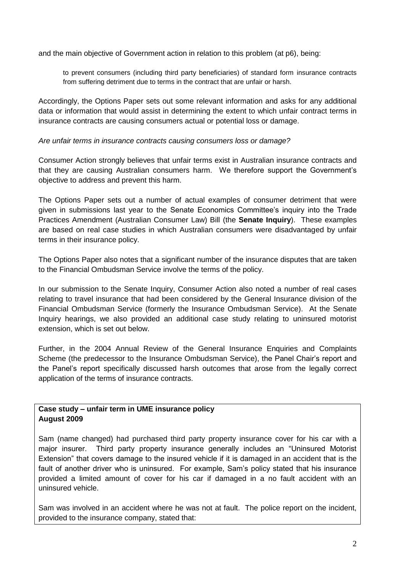and the main objective of Government action in relation to this problem (at p6), being:

to prevent consumers (including third party beneficiaries) of standard form insurance contracts from suffering detriment due to terms in the contract that are unfair or harsh.

Accordingly, the Options Paper sets out some relevant information and asks for any additional data or information that would assist in determining the extent to which unfair contract terms in insurance contracts are causing consumers actual or potential loss or damage.

### *Are unfair terms in insurance contracts causing consumers loss or damage?*

Consumer Action strongly believes that unfair terms exist in Australian insurance contracts and that they are causing Australian consumers harm. We therefore support the Government"s objective to address and prevent this harm.

The Options Paper sets out a number of actual examples of consumer detriment that were given in submissions last year to the Senate Economics Committee"s inquiry into the Trade Practices Amendment (Australian Consumer Law) Bill (the **Senate Inquiry**). These examples are based on real case studies in which Australian consumers were disadvantaged by unfair terms in their insurance policy.

The Options Paper also notes that a significant number of the insurance disputes that are taken to the Financial Ombudsman Service involve the terms of the policy.

In our submission to the Senate Inquiry, Consumer Action also noted a number of real cases relating to travel insurance that had been considered by the General Insurance division of the Financial Ombudsman Service (formerly the Insurance Ombudsman Service). At the Senate Inquiry hearings, we also provided an additional case study relating to uninsured motorist extension, which is set out below.

Further, in the 2004 Annual Review of the General Insurance Enquiries and Complaints Scheme (the predecessor to the Insurance Ombudsman Service), the Panel Chair's report and the Panel"s report specifically discussed harsh outcomes that arose from the legally correct application of the terms of insurance contracts.

## **Case study – unfair term in UME insurance policy August 2009**

Sam (name changed) had purchased third party property insurance cover for his car with a major insurer. Third party property insurance generally includes an "Uninsured Motorist Extension" that covers damage to the insured vehicle if it is damaged in an accident that is the fault of another driver who is uninsured. For example, Sam's policy stated that his insurance provided a limited amount of cover for his car if damaged in a no fault accident with an uninsured vehicle.

Sam was involved in an accident where he was not at fault. The police report on the incident, provided to the insurance company, stated that: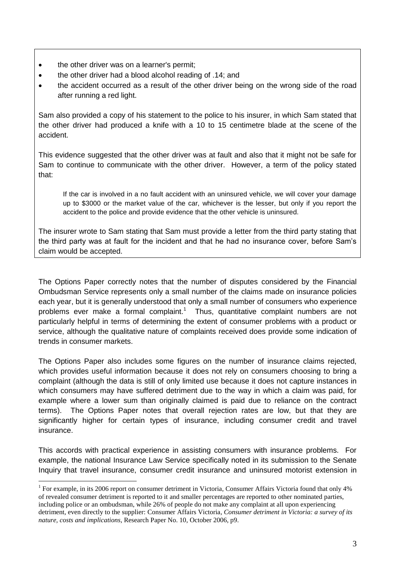• the other driver was on a learner's permit:

<u>.</u>

- the other driver had a blood alcohol reading of .14; and
- the accident occurred as a result of the other driver being on the wrong side of the road after running a red light.

Sam also provided a copy of his statement to the police to his insurer, in which Sam stated that the other driver had produced a knife with a 10 to 15 centimetre blade at the scene of the accident.

This evidence suggested that the other driver was at fault and also that it might not be safe for Sam to continue to communicate with the other driver. However, a term of the policy stated that:

If the car is involved in a no fault accident with an uninsured vehicle, we will cover your damage up to \$3000 or the market value of the car, whichever is the lesser, but only if you report the accident to the police and provide evidence that the other vehicle is uninsured.

The insurer wrote to Sam stating that Sam must provide a letter from the third party stating that the third party was at fault for the incident and that he had no insurance cover, before Sam"s claim would be accepted.

The Options Paper correctly notes that the number of disputes considered by the Financial Ombudsman Service represents only a small number of the claims made on insurance policies each year, but it is generally understood that only a small number of consumers who experience problems ever make a formal complaint.<sup>1</sup> Thus, quantitative complaint numbers are not particularly helpful in terms of determining the extent of consumer problems with a product or service, although the qualitative nature of complaints received does provide some indication of trends in consumer markets.

The Options Paper also includes some figures on the number of insurance claims rejected, which provides useful information because it does not rely on consumers choosing to bring a complaint (although the data is still of only limited use because it does not capture instances in which consumers may have suffered detriment due to the way in which a claim was paid, for example where a lower sum than originally claimed is paid due to reliance on the contract terms). The Options Paper notes that overall rejection rates are low, but that they are significantly higher for certain types of insurance, including consumer credit and travel insurance.

This accords with practical experience in assisting consumers with insurance problems. For example, the national Insurance Law Service specifically noted in its submission to the Senate Inquiry that travel insurance, consumer credit insurance and uninsured motorist extension in

<sup>&</sup>lt;sup>1</sup> For example, in its 2006 report on consumer detriment in Victoria, Consumer Affairs Victoria found that only 4% of revealed consumer detriment is reported to it and smaller percentages are reported to other nominated parties, including police or an ombudsman, while 26% of people do not make any complaint at all upon experiencing detriment, even directly to the supplier: Consumer Affairs Victoria, *Consumer detriment in Victoria: a survey of its nature, costs and implications*, Research Paper No. 10, October 2006, p9.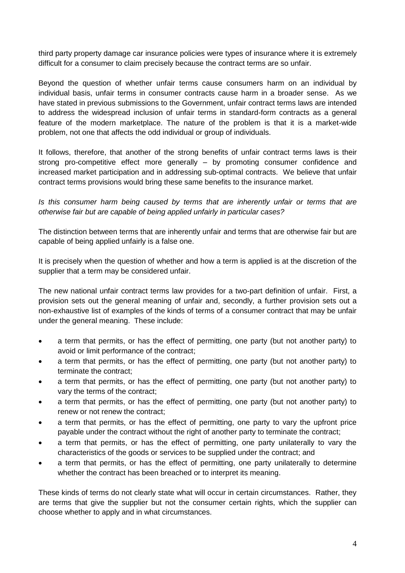third party property damage car insurance policies were types of insurance where it is extremely difficult for a consumer to claim precisely because the contract terms are so unfair.

Beyond the question of whether unfair terms cause consumers harm on an individual by individual basis, unfair terms in consumer contracts cause harm in a broader sense. As we have stated in previous submissions to the Government, unfair contract terms laws are intended to address the widespread inclusion of unfair terms in standard-form contracts as a general feature of the modern marketplace. The nature of the problem is that it is a market-wide problem, not one that affects the odd individual or group of individuals.

It follows, therefore, that another of the strong benefits of unfair contract terms laws is their strong pro-competitive effect more generally – by promoting consumer confidence and increased market participation and in addressing sub-optimal contracts. We believe that unfair contract terms provisions would bring these same benefits to the insurance market.

*Is this consumer harm being caused by terms that are inherently unfair or terms that are otherwise fair but are capable of being applied unfairly in particular cases?*

The distinction between terms that are inherently unfair and terms that are otherwise fair but are capable of being applied unfairly is a false one.

It is precisely when the question of whether and how a term is applied is at the discretion of the supplier that a term may be considered unfair.

The new national unfair contract terms law provides for a two-part definition of unfair. First, a provision sets out the general meaning of unfair and, secondly, a further provision sets out a non-exhaustive list of examples of the kinds of terms of a consumer contract that may be unfair under the general meaning. These include:

- a term that permits, or has the effect of permitting, one party (but not another party) to avoid or limit performance of the contract;
- a term that permits, or has the effect of permitting, one party (but not another party) to terminate the contract;
- a term that permits, or has the effect of permitting, one party (but not another party) to vary the terms of the contract;
- a term that permits, or has the effect of permitting, one party (but not another party) to renew or not renew the contract;
- a term that permits, or has the effect of permitting, one party to vary the upfront price payable under the contract without the right of another party to terminate the contract;
- a term that permits, or has the effect of permitting, one party unilaterally to vary the characteristics of the goods or services to be supplied under the contract; and
- a term that permits, or has the effect of permitting, one party unilaterally to determine whether the contract has been breached or to interpret its meaning.

These kinds of terms do not clearly state what will occur in certain circumstances. Rather, they are terms that give the supplier but not the consumer certain rights, which the supplier can choose whether to apply and in what circumstances.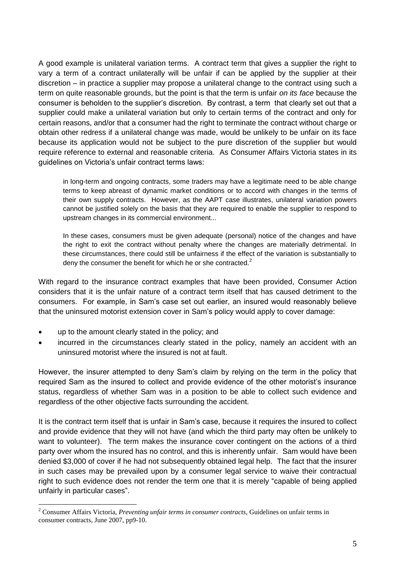A good example is unilateral variation terms. A contract term that gives a supplier the right to vary a term of a contract unilaterally will be unfair if can be applied by the supplier at their discretion – in practice a supplier may propose a unilateral change to the contract using such a term on quite reasonable grounds, but the point is that the term is unfair *on its face* because the consumer is beholden to the supplier"s discretion. By contrast, a term that clearly set out that a supplier could make a unilateral variation but only to certain terms of the contract and only for certain reasons, and/or that a consumer had the right to terminate the contract without charge or obtain other redress if a unilateral change was made, would be unlikely to be unfair on its face because its application would not be subject to the pure discretion of the supplier but would require reference to external and reasonable criteria. As Consumer Affairs Victoria states in its guidelines on Victoria"s unfair contract terms laws:

in long-term and ongoing contracts, some traders may have a legitimate need to be able change terms to keep abreast of dynamic market conditions or to accord with changes in the terms of their own supply contracts. However, as the AAPT case illustrates, unilateral variation powers cannot be justified solely on the basis that they are required to enable the supplier to respond to upstream changes in its commercial environment...

In these cases, consumers must be given adequate (personal) notice of the changes and have the right to exit the contract without penalty where the changes are materially detrimental. In these circumstances, there could still be unfairness if the effect of the variation is substantially to deny the consumer the benefit for which he or she contracted. $2$ 

With regard to the insurance contract examples that have been provided, Consumer Action considers that it is the unfair nature of a contract term itself that has caused detriment to the consumers. For example, in Sam"s case set out earlier, an insured would reasonably believe that the uninsured motorist extension cover in Sam"s policy would apply to cover damage:

up to the amount clearly stated in the policy; and

1

 incurred in the circumstances clearly stated in the policy, namely an accident with an uninsured motorist where the insured is not at fault.

However, the insurer attempted to deny Sam"s claim by relying on the term in the policy that required Sam as the insured to collect and provide evidence of the other motorist"s insurance status, regardless of whether Sam was in a position to be able to collect such evidence and regardless of the other objective facts surrounding the accident.

It is the contract term itself that is unfair in Sam"s case, because it requires the insured to collect and provide evidence that they will not have (and which the third party may often be unlikely to want to volunteer). The term makes the insurance cover contingent on the actions of a third party over whom the insured has no control, and this is inherently unfair. Sam would have been denied \$3,000 of cover if he had not subsequently obtained legal help. The fact that the insurer in such cases may be prevailed upon by a consumer legal service to waive their contractual right to such evidence does not render the term one that it is merely "capable of being applied unfairly in particular cases".

<sup>2</sup> Consumer Affairs Victoria, *Preventing unfair terms in consumer contracts*, Guidelines on unfair terms in consumer contracts, June 2007, pp9-10.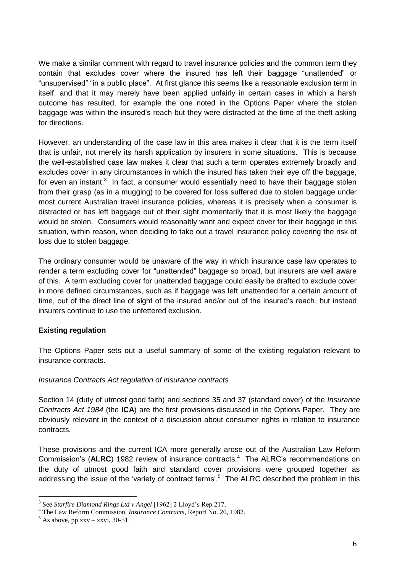We make a similar comment with regard to travel insurance policies and the common term they contain that excludes cover where the insured has left their baggage "unattended" or "unsupervised" "in a public place". At first glance this seems like a reasonable exclusion term in itself, and that it may merely have been applied unfairly in certain cases in which a harsh outcome has resulted, for example the one noted in the Options Paper where the stolen baggage was within the insured"s reach but they were distracted at the time of the theft asking for directions.

However, an understanding of the case law in this area makes it clear that it is the term itself that is unfair, not merely its harsh application by insurers in some situations. This is because the well-established case law makes it clear that such a term operates extremely broadly and excludes cover in any circumstances in which the insured has taken their eye off the baggage, for even an instant.<sup>3</sup> In fact, a consumer would essentially need to have their baggage stolen from their grasp (as in a mugging) to be covered for loss suffered due to stolen baggage under most current Australian travel insurance policies, whereas it is precisely when a consumer is distracted or has left baggage out of their sight momentarily that it is most likely the baggage would be stolen. Consumers would reasonably want and expect cover for their baggage in this situation, within reason, when deciding to take out a travel insurance policy covering the risk of loss due to stolen baggage.

The ordinary consumer would be unaware of the way in which insurance case law operates to render a term excluding cover for "unattended" baggage so broad, but insurers are well aware of this. A term excluding cover for unattended baggage could easily be drafted to exclude cover in more defined circumstances, such as if baggage was left unattended for a certain amount of time, out of the direct line of sight of the insured and/or out of the insured"s reach, but instead insurers continue to use the unfettered exclusion.

## **Existing regulation**

The Options Paper sets out a useful summary of some of the existing regulation relevant to insurance contracts.

## *Insurance Contracts Act regulation of insurance contracts*

Section 14 (duty of utmost good faith) and sections 35 and 37 (standard cover) of the *Insurance Contracts Act 1984* (the **ICA**) are the first provisions discussed in the Options Paper. They are obviously relevant in the context of a discussion about consumer rights in relation to insurance contracts.

These provisions and the current ICA more generally arose out of the Australian Law Reform Commission's (ALRC) 1982 review of insurance contracts.<sup>4</sup> The ALRC's recommendations on the duty of utmost good faith and standard cover provisions were grouped together as addressing the issue of the 'variety of contract terms'.<sup>5</sup> The ALRC described the problem in this

<u>.</u>

<sup>3</sup> See *Starfire Diamond Rings Ltd v Angel* [1962] 2 Lloyd's Rep 217.

<sup>4</sup> The Law Reform Commission, *Insurance Contracts*, Report No. 20, 1982.

 $5$  As above, pp xxv – xxvi, 30-51.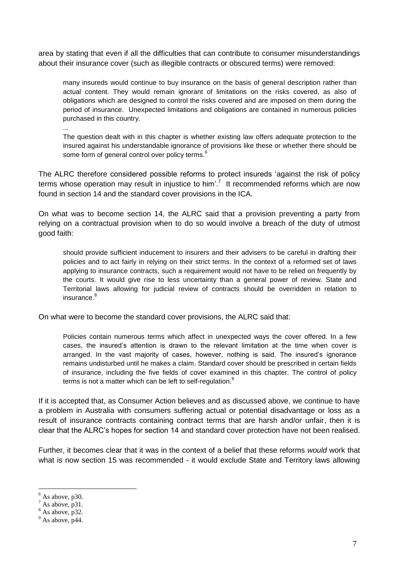area by stating that even if all the difficulties that can contribute to consumer misunderstandings about their insurance cover (such as illegible contracts or obscured terms) were removed:

many insureds would continue to buy insurance on the basis of general description rather than actual content. They would remain ignorant of limitations on the risks covered, as also of obligations which are designed to control the risks covered and are imposed on them during the period of insurance. Unexpected limitations and obligations are contained in numerous policies purchased in this country.

...

The question dealt with in this chapter is whether existing law offers adequate protection to the insured against his understandable ignorance of provisions like these or whether there should be some form of general control over policy terms.<sup>6</sup>

The ALRC therefore considered possible reforms to protect insureds "against the risk of policy terms whose operation may result in injustice to him'.<sup>7</sup> It recommended reforms which are now found in section 14 and the standard cover provisions in the ICA.

On what was to become section 14, the ALRC said that a provision preventing a party from relying on a contractual provision when to do so would involve a breach of the duty of utmost good faith:

should provide sufficient inducement to insurers and their advisers to be careful in drafting their policies and to act fairly in relying on their strict terms. In the context of a reformed set of laws applying to insurance contracts, such a requirement would not have to be relied on frequently by the courts. It would give rise to less uncertainty than a general power of review. State and Territorial laws allowing for judicial review of contracts should be overridden in relation to insurance.<sup>8</sup>

On what were to become the standard cover provisions, the ALRC said that:

Policies contain numerous terms which affect in unexpected ways the cover offered. In a few cases, the insured"s attention is drawn to the relevant limitation at the time when cover is arranged. In the vast majority of cases, however, nothing is said. The insured's ignorance remains undisturbed until he makes a claim. Standard cover should be prescribed in certain fields of insurance, including the five fields of cover examined in this chapter. The control of policy terms is not a matter which can be left to self-regulation. $^{9}$ 

If it is accepted that, as Consumer Action believes and as discussed above, we continue to have a problem in Australia with consumers suffering actual or potential disadvantage or loss as a result of insurance contracts containing contract terms that are harsh and/or unfair, then it is clear that the ALRC"s hopes for section 14 and standard cover protection have not been realised.

Further, it becomes clear that it was in the context of a belief that these reforms *would* work that what is now section 15 was recommended - it would exclude State and Territory laws allowing

1

 $<sup>6</sup>$  As above, p<sub>30</sub>.</sup>

 $^7$  As above, p31.

 $8$  As above, p32.

 $9^9$  As above, p44.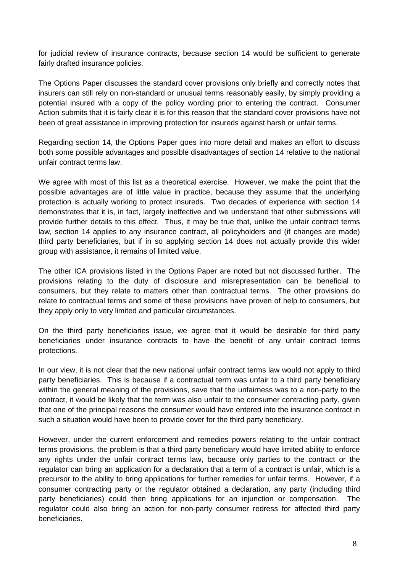for judicial review of insurance contracts, because section 14 would be sufficient to generate fairly drafted insurance policies.

The Options Paper discusses the standard cover provisions only briefly and correctly notes that insurers can still rely on non-standard or unusual terms reasonably easily, by simply providing a potential insured with a copy of the policy wording prior to entering the contract. Consumer Action submits that it is fairly clear it is for this reason that the standard cover provisions have not been of great assistance in improving protection for insureds against harsh or unfair terms.

Regarding section 14, the Options Paper goes into more detail and makes an effort to discuss both some possible advantages and possible disadvantages of section 14 relative to the national unfair contract terms law.

We agree with most of this list as a theoretical exercise. However, we make the point that the possible advantages are of little value in practice, because they assume that the underlying protection is actually working to protect insureds. Two decades of experience with section 14 demonstrates that it is, in fact, largely ineffective and we understand that other submissions will provide further details to this effect. Thus, it may be true that, unlike the unfair contract terms law, section 14 applies to any insurance contract, all policyholders and (if changes are made) third party beneficiaries, but if in so applying section 14 does not actually provide this wider group with assistance, it remains of limited value.

The other ICA provisions listed in the Options Paper are noted but not discussed further. The provisions relating to the duty of disclosure and misrepresentation can be beneficial to consumers, but they relate to matters other than contractual terms. The other provisions do relate to contractual terms and some of these provisions have proven of help to consumers, but they apply only to very limited and particular circumstances.

On the third party beneficiaries issue, we agree that it would be desirable for third party beneficiaries under insurance contracts to have the benefit of any unfair contract terms protections.

In our view, it is not clear that the new national unfair contract terms law would not apply to third party beneficiaries. This is because if a contractual term was unfair to a third party beneficiary within the general meaning of the provisions, save that the unfairness was to a non-party to the contract, it would be likely that the term was also unfair to the consumer contracting party, given that one of the principal reasons the consumer would have entered into the insurance contract in such a situation would have been to provide cover for the third party beneficiary.

However, under the current enforcement and remedies powers relating to the unfair contract terms provisions, the problem is that a third party beneficiary would have limited ability to enforce any rights under the unfair contract terms law, because only parties to the contract or the regulator can bring an application for a declaration that a term of a contract is unfair, which is a precursor to the ability to bring applications for further remedies for unfair terms. However, if a consumer contracting party or the regulator obtained a declaration, any party (including third party beneficiaries) could then bring applications for an injunction or compensation. The regulator could also bring an action for non-party consumer redress for affected third party beneficiaries.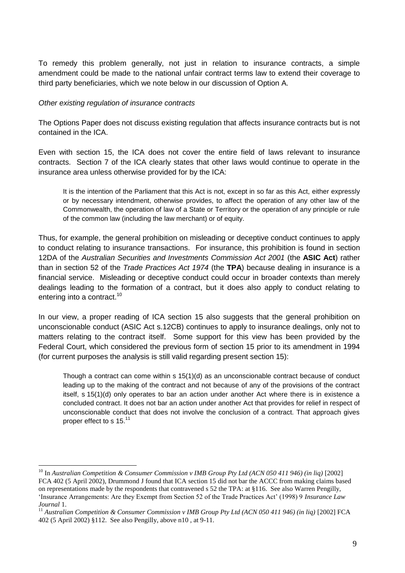To remedy this problem generally, not just in relation to insurance contracts, a simple amendment could be made to the national unfair contract terms law to extend their coverage to third party beneficiaries, which we note below in our discussion of Option A.

### *Other existing regulation of insurance contracts*

1

The Options Paper does not discuss existing regulation that affects insurance contracts but is not contained in the ICA.

Even with section 15, the ICA does not cover the entire field of laws relevant to insurance contracts. Section 7 of the ICA clearly states that other laws would continue to operate in the insurance area unless otherwise provided for by the ICA:

It is the intention of the Parliament that this Act is not, except in so far as this Act, either expressly or by necessary intendment, otherwise provides, to affect the operation of any other law of the Commonwealth, the operation of law of a State or Territory or the operation of any principle or rule of the common law (including the law merchant) or of equity.

Thus, for example, the general prohibition on misleading or deceptive conduct continues to apply to conduct relating to insurance transactions. For insurance, this prohibition is found in section 12DA of the *Australian Securities and Investments Commission Act 2001* (the **ASIC Act**) rather than in section 52 of the *Trade Practices Act 1974* (the **TPA**) because dealing in insurance is a financial service. Misleading or deceptive conduct could occur in broader contexts than merely dealings leading to the formation of a contract, but it does also apply to conduct relating to entering into a contract.<sup>10</sup>

In our view, a proper reading of ICA section 15 also suggests that the general prohibition on unconscionable conduct (ASIC Act s.12CB) continues to apply to insurance dealings, only not to matters relating to the contract itself. Some support for this view has been provided by the Federal Court, which considered the previous form of section 15 prior to its amendment in 1994 (for current purposes the analysis is still valid regarding present section 15):

Though a contract can come within s 15(1)(d) as an unconscionable contract because of conduct leading up to the making of the contract and not because of any of the provisions of the contract itself, s 15(1)(d) only operates to bar an action under another Act where there is in existence a concluded contract. It does not bar an action under another Act that provides for relief in respect of unconscionable conduct that does not involve the conclusion of a contract. That approach gives proper effect to s 15.<sup>11</sup>

<sup>10</sup> In *Australian Competition & Consumer Commission v IMB Group Pty Ltd (ACN 050 411 946) (in liq)* [2002] FCA 402 (5 April 2002), Drummond J found that ICA section 15 did not bar the ACCC from making claims based on representations made by the respondents that contravened s 52 the TPA: at §116. See also Warren Pengilly, 'Insurance Arrangements: Are they Exempt from Section 52 of the Trade Practices Act' (1998) 9 *Insurance Law Journal* 1.

<sup>11</sup> *Australian Competition & Consumer Commission v IMB Group Pty Ltd (ACN 050 411 946) (in liq)* [2002] FCA 402 (5 April 2002) §112. See also Pengilly, above n10 , at 9-11.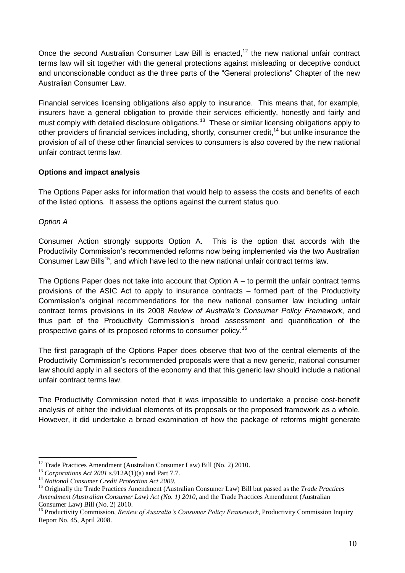Once the second Australian Consumer Law Bill is enacted,<sup>12</sup> the new national unfair contract terms law will sit together with the general protections against misleading or deceptive conduct and unconscionable conduct as the three parts of the "General protections" Chapter of the new Australian Consumer Law.

Financial services licensing obligations also apply to insurance. This means that, for example, insurers have a general obligation to provide their services efficiently, honestly and fairly and must comply with detailed disclosure obligations.<sup>13</sup> These or similar licensing obligations apply to other providers of financial services including, shortly, consumer credit,<sup>14</sup> but unlike insurance the provision of all of these other financial services to consumers is also covered by the new national unfair contract terms law.

### **Options and impact analysis**

The Options Paper asks for information that would help to assess the costs and benefits of each of the listed options. It assess the options against the current status quo.

*Option A*

Consumer Action strongly supports Option A. This is the option that accords with the Productivity Commission"s recommended reforms now being implemented via the two Australian Consumer Law Bills<sup>15</sup>, and which have led to the new national unfair contract terms law.

The Options Paper does not take into account that Option  $A -$  to permit the unfair contract terms provisions of the ASIC Act to apply to insurance contracts – formed part of the Productivity Commission"s original recommendations for the new national consumer law including unfair contract terms provisions in its 2008 *Review of Australia's Consumer Policy Framework*, and thus part of the Productivity Commission"s broad assessment and quantification of the prospective gains of its proposed reforms to consumer policy.<sup>16</sup>

The first paragraph of the Options Paper does observe that two of the central elements of the Productivity Commission"s recommended proposals were that a new generic, national consumer law should apply in all sectors of the economy and that this generic law should include a national unfair contract terms law.

The Productivity Commission noted that it was impossible to undertake a precise cost-benefit analysis of either the individual elements of its proposals or the proposed framework as a whole. However, it did undertake a broad examination of how the package of reforms might generate

<sup>1</sup> <sup>12</sup> Trade Practices Amendment (Australian Consumer Law) Bill (No. 2) 2010.

<sup>13</sup> *Corporations Act 2001* s.912A(1)(a) and Part 7.7.

<sup>14</sup> *National Consumer Credit Protection Act 2009*.

<sup>15</sup> Originally the Trade Practices Amendment (Australian Consumer Law) Bill but passed as the *Trade Practices Amendment (Australian Consumer Law) Act (No. 1) 2010*, and the Trade Practices Amendment (Australian Consumer Law) Bill (No. 2) 2010.

<sup>16</sup> Productivity Commission, *Review of Australia's Consumer Policy Framework*, Productivity Commission Inquiry Report No. 45, April 2008.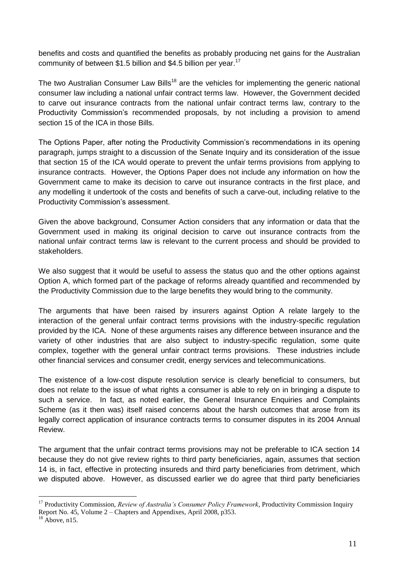benefits and costs and quantified the benefits as probably producing net gains for the Australian community of between \$1.5 billion and \$4.5 billion per year.<sup>17</sup>

The two Australian Consumer Law Bills<sup>18</sup> are the vehicles for implementing the generic national consumer law including a national unfair contract terms law. However, the Government decided to carve out insurance contracts from the national unfair contract terms law, contrary to the Productivity Commission"s recommended proposals, by not including a provision to amend section 15 of the ICA in those Bills.

The Options Paper, after noting the Productivity Commission's recommendations in its opening paragraph, jumps straight to a discussion of the Senate Inquiry and its consideration of the issue that section 15 of the ICA would operate to prevent the unfair terms provisions from applying to insurance contracts. However, the Options Paper does not include any information on how the Government came to make its decision to carve out insurance contracts in the first place, and any modelling it undertook of the costs and benefits of such a carve-out, including relative to the Productivity Commission's assessment.

Given the above background, Consumer Action considers that any information or data that the Government used in making its original decision to carve out insurance contracts from the national unfair contract terms law is relevant to the current process and should be provided to stakeholders.

We also suggest that it would be useful to assess the status quo and the other options against Option A, which formed part of the package of reforms already quantified and recommended by the Productivity Commission due to the large benefits they would bring to the community.

The arguments that have been raised by insurers against Option A relate largely to the interaction of the general unfair contract terms provisions with the industry-specific regulation provided by the ICA. None of these arguments raises any difference between insurance and the variety of other industries that are also subject to industry-specific regulation, some quite complex, together with the general unfair contract terms provisions. These industries include other financial services and consumer credit, energy services and telecommunications.

The existence of a low-cost dispute resolution service is clearly beneficial to consumers, but does not relate to the issue of what rights a consumer is able to rely on in bringing a dispute to such a service. In fact, as noted earlier, the General Insurance Enquiries and Complaints Scheme (as it then was) itself raised concerns about the harsh outcomes that arose from its legally correct application of insurance contracts terms to consumer disputes in its 2004 Annual Review.

The argument that the unfair contract terms provisions may not be preferable to ICA section 14 because they do not give review rights to third party beneficiaries, again, assumes that section 14 is, in fact, effective in protecting insureds and third party beneficiaries from detriment, which we disputed above. However, as discussed earlier we do agree that third party beneficiaries

<u>.</u>

<sup>17</sup> Productivity Commission, *Review of Australia's Consumer Policy Framework*, Productivity Commission Inquiry Report No. 45, Volume 2 – Chapters and Appendixes, April 2008, p353.

 $18$  Above, n15.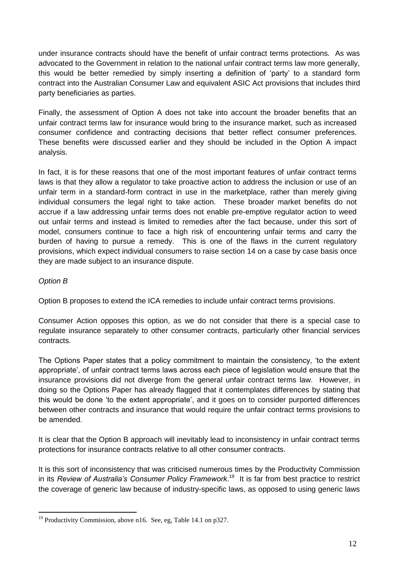under insurance contracts should have the benefit of unfair contract terms protections. As was advocated to the Government in relation to the national unfair contract terms law more generally, this would be better remedied by simply inserting a definition of "party" to a standard form contract into the Australian Consumer Law and equivalent ASIC Act provisions that includes third party beneficiaries as parties.

Finally, the assessment of Option A does not take into account the broader benefits that an unfair contract terms law for insurance would bring to the insurance market, such as increased consumer confidence and contracting decisions that better reflect consumer preferences. These benefits were discussed earlier and they should be included in the Option A impact analysis.

In fact, it is for these reasons that one of the most important features of unfair contract terms laws is that they allow a regulator to take proactive action to address the inclusion or use of an unfair term in a standard-form contract in use in the marketplace, rather than merely giving individual consumers the legal right to take action. These broader market benefits do not accrue if a law addressing unfair terms does not enable pre-emptive regulator action to weed out unfair terms and instead is limited to remedies after the fact because, under this sort of model, consumers continue to face a high risk of encountering unfair terms and carry the burden of having to pursue a remedy. This is one of the flaws in the current regulatory provisions, which expect individual consumers to raise section 14 on a case by case basis once they are made subject to an insurance dispute.

### *Option B*

1

Option B proposes to extend the ICA remedies to include unfair contract terms provisions.

Consumer Action opposes this option, as we do not consider that there is a special case to regulate insurance separately to other consumer contracts, particularly other financial services contracts.

The Options Paper states that a policy commitment to maintain the consistency, "to the extent appropriate", of unfair contract terms laws across each piece of legislation would ensure that the insurance provisions did not diverge from the general unfair contract terms law. However, in doing so the Options Paper has already flagged that it contemplates differences by stating that this would be done "to the extent appropriate", and it goes on to consider purported differences between other contracts and insurance that would require the unfair contract terms provisions to be amended.

It is clear that the Option B approach will inevitably lead to inconsistency in unfair contract terms protections for insurance contracts relative to all other consumer contracts.

It is this sort of inconsistency that was criticised numerous times by the Productivity Commission in its *Review of Australia's Consumer Policy Framework*. 19 It is far from best practice to restrict the coverage of generic law because of industry-specific laws, as opposed to using generic laws

 $19$  Productivity Commission, above n16. See, eg, Table 14.1 on p327.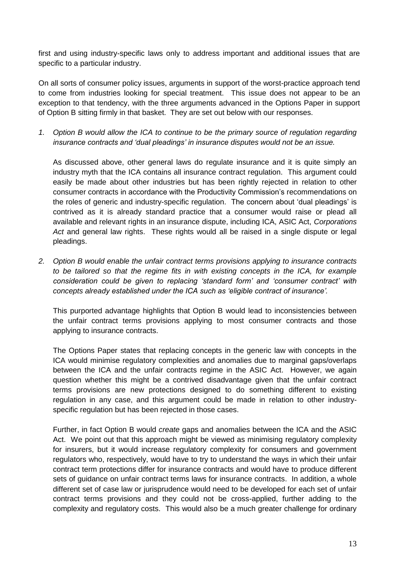first and using industry-specific laws only to address important and additional issues that are specific to a particular industry.

On all sorts of consumer policy issues, arguments in support of the worst-practice approach tend to come from industries looking for special treatment. This issue does not appear to be an exception to that tendency, with the three arguments advanced in the Options Paper in support of Option B sitting firmly in that basket. They are set out below with our responses.

*1. Option B would allow the ICA to continue to be the primary source of regulation regarding insurance contracts and 'dual pleadings' in insurance disputes would not be an issue.*

As discussed above, other general laws do regulate insurance and it is quite simply an industry myth that the ICA contains all insurance contract regulation. This argument could easily be made about other industries but has been rightly rejected in relation to other consumer contracts in accordance with the Productivity Commission"s recommendations on the roles of generic and industry-specific regulation. The concern about "dual pleadings" is contrived as it is already standard practice that a consumer would raise or plead all available and relevant rights in an insurance dispute, including ICA, ASIC Act, *Corporations*  Act and general law rights. These rights would all be raised in a single dispute or legal pleadings.

*2. Option B would enable the unfair contract terms provisions applying to insurance contracts to be tailored so that the regime fits in with existing concepts in the ICA, for example consideration could be given to replacing 'standard form' and 'consumer contract' with concepts already established under the ICA such as 'eligible contract of insurance'.*

This purported advantage highlights that Option B would lead to inconsistencies between the unfair contract terms provisions applying to most consumer contracts and those applying to insurance contracts.

The Options Paper states that replacing concepts in the generic law with concepts in the ICA would minimise regulatory complexities and anomalies due to marginal gaps/overlaps between the ICA and the unfair contracts regime in the ASIC Act. However, we again question whether this might be a contrived disadvantage given that the unfair contract terms provisions are new protections designed to do something different to existing regulation in any case, and this argument could be made in relation to other industryspecific regulation but has been rejected in those cases.

Further, in fact Option B would *create* gaps and anomalies between the ICA and the ASIC Act. We point out that this approach might be viewed as minimising regulatory complexity for insurers, but it would increase regulatory complexity for consumers and government regulators who, respectively, would have to try to understand the ways in which their unfair contract term protections differ for insurance contracts and would have to produce different sets of guidance on unfair contract terms laws for insurance contracts. In addition, a whole different set of case law or jurisprudence would need to be developed for each set of unfair contract terms provisions and they could not be cross-applied, further adding to the complexity and regulatory costs. This would also be a much greater challenge for ordinary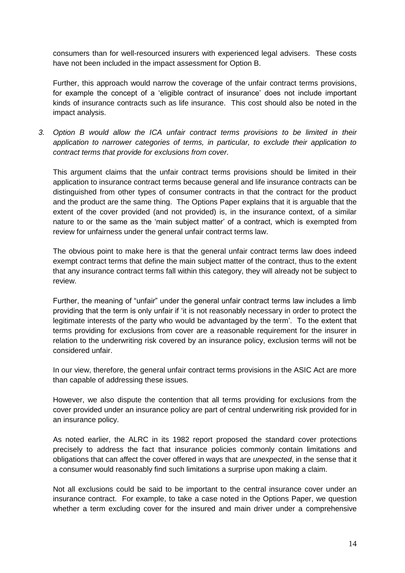consumers than for well-resourced insurers with experienced legal advisers. These costs have not been included in the impact assessment for Option B.

Further, this approach would narrow the coverage of the unfair contract terms provisions, for example the concept of a 'eligible contract of insurance' does not include important kinds of insurance contracts such as life insurance. This cost should also be noted in the impact analysis.

*3. Option B would allow the ICA unfair contract terms provisions to be limited in their application to narrower categories of terms, in particular, to exclude their application to contract terms that provide for exclusions from cover.*

This argument claims that the unfair contract terms provisions should be limited in their application to insurance contract terms because general and life insurance contracts can be distinguished from other types of consumer contracts in that the contract for the product and the product are the same thing. The Options Paper explains that it is arguable that the extent of the cover provided (and not provided) is, in the insurance context, of a similar nature to or the same as the "main subject matter" of a contract, which is exempted from review for unfairness under the general unfair contract terms law.

The obvious point to make here is that the general unfair contract terms law does indeed exempt contract terms that define the main subject matter of the contract, thus to the extent that any insurance contract terms fall within this category, they will already not be subject to review.

Further, the meaning of "unfair" under the general unfair contract terms law includes a limb providing that the term is only unfair if "it is not reasonably necessary in order to protect the legitimate interests of the party who would be advantaged by the term". To the extent that terms providing for exclusions from cover are a reasonable requirement for the insurer in relation to the underwriting risk covered by an insurance policy, exclusion terms will not be considered unfair.

In our view, therefore, the general unfair contract terms provisions in the ASIC Act are more than capable of addressing these issues.

However, we also dispute the contention that all terms providing for exclusions from the cover provided under an insurance policy are part of central underwriting risk provided for in an insurance policy.

As noted earlier, the ALRC in its 1982 report proposed the standard cover protections precisely to address the fact that insurance policies commonly contain limitations and obligations that can affect the cover offered in ways that are *unexpected*, in the sense that it a consumer would reasonably find such limitations a surprise upon making a claim.

Not all exclusions could be said to be important to the central insurance cover under an insurance contract. For example, to take a case noted in the Options Paper, we question whether a term excluding cover for the insured and main driver under a comprehensive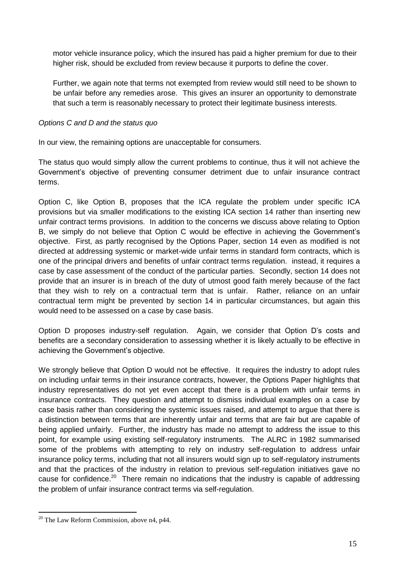motor vehicle insurance policy, which the insured has paid a higher premium for due to their higher risk, should be excluded from review because it purports to define the cover.

Further, we again note that terms not exempted from review would still need to be shown to be unfair before any remedies arose. This gives an insurer an opportunity to demonstrate that such a term is reasonably necessary to protect their legitimate business interests.

### *Options C and D and the status quo*

In our view, the remaining options are unacceptable for consumers.

The status quo would simply allow the current problems to continue, thus it will not achieve the Government"s objective of preventing consumer detriment due to unfair insurance contract terms.

Option C, like Option B, proposes that the ICA regulate the problem under specific ICA provisions but via smaller modifications to the existing ICA section 14 rather than inserting new unfair contract terms provisions. In addition to the concerns we discuss above relating to Option B, we simply do not believe that Option C would be effective in achieving the Government"s objective. First, as partly recognised by the Options Paper, section 14 even as modified is not directed at addressing systemic or market-wide unfair terms in standard form contracts, which is one of the principal drivers and benefits of unfair contract terms regulation. instead, it requires a case by case assessment of the conduct of the particular parties. Secondly, section 14 does not provide that an insurer is in breach of the duty of utmost good faith merely because of the fact that they wish to rely on a contractual term that is unfair. Rather, reliance on an unfair contractual term might be prevented by section 14 in particular circumstances, but again this would need to be assessed on a case by case basis.

Option D proposes industry-self regulation. Again, we consider that Option D"s costs and benefits are a secondary consideration to assessing whether it is likely actually to be effective in achieving the Government's objective.

We strongly believe that Option D would not be effective. It requires the industry to adopt rules on including unfair terms in their insurance contracts, however, the Options Paper highlights that industry representatives do not yet even accept that there is a problem with unfair terms in insurance contracts. They question and attempt to dismiss individual examples on a case by case basis rather than considering the systemic issues raised, and attempt to argue that there is a distinction between terms that are inherently unfair and terms that are fair but are capable of being applied unfairly. Further, the industry has made no attempt to address the issue to this point, for example using existing self-regulatory instruments. The ALRC in 1982 summarised some of the problems with attempting to rely on industry self-regulation to address unfair insurance policy terms, including that not all insurers would sign up to self-regulatory instruments and that the practices of the industry in relation to previous self-regulation initiatives gave no cause for confidence.<sup>20</sup> There remain no indications that the industry is capable of addressing the problem of unfair insurance contract terms via self-regulation.

1

 $20$  The Law Reform Commission, above n4, p44.